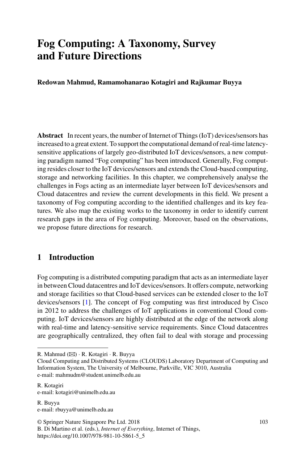# **Fog Computing: A Taxonomy, Survey and Future Directions**

**Redowan Mahmud, Ramamohanarao Kotagiri and Rajkumar Buyya**

**Abstract** In recent years, the number of Internet of Things (IoT) devices/sensors has increased to a great extent. To support the computational demand of real-time latencysensitive applications of largely geo-distributed IoT devices/sensors, a new computing paradigm named "Fog computing" has been introduced. Generally, Fog computing resides closer to the IoT devices/sensors and extends the Cloud-based computing, storage and networking facilities. In this chapter, we comprehensively analyse the challenges in Fogs acting as an intermediate layer between IoT devices/sensors and Cloud datacentres and review the current developments in this field. We present a taxonomy of Fog computing according to the identified challenges and its key features. We also map the existing works to the taxonomy in order to identify current research gaps in the area of Fog computing. Moreover, based on the observations, we propose future directions for research.

# **1 Introduction**

Fog computing is a distributed computing paradigm that acts as an intermediate layer in between Cloud datacentres and IoT devices/sensors. It offers compute, networking and storage facilities so that Cloud-based services can be extended closer to the IoT devices/sensors [\[1\]](#page-25-0). The concept of Fog computing was first introduced by Cisco in 2012 to address the challenges of IoT applications in conventional Cloud computing. IoT devices/sensors are highly distributed at the edge of the network along with real-time and latency-sensitive service requirements. Since Cloud datacentres are geographically centralized, they often fail to deal with storage and processing

R. Kotagiri e-mail: kotagiri@unimelb.edu.au

R. Buyya e-mail: rbuyya@unimelb.edu.au

© Springer Nature Singapore Pte Ltd. 2018

B. Di Martino et al. (eds.), *Internet of Everything*, Internet of Things, https://doi.org/10.1007/978-981-10-5861-5\_5

R. Mahmud (B) · R. Kotagiri · R. Buyya

Cloud Computing and Distributed Systems (CLOUDS) Laboratory Department of Computing and Information System, The University of Melbourne, Parkville, VIC 3010, Australia e-mail: mahmudm@student.unimelb.edu.au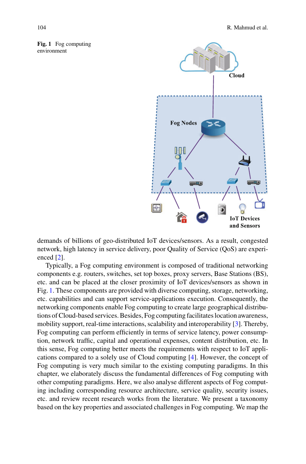<span id="page-1-0"></span>



demands of billions of geo-distributed IoT devices/sensors. As a result, congested network, high latency in service delivery, poor Quality of Service (QoS) are experienced [\[2\]](#page-25-1).

Typically, a Fog computing environment is composed of traditional networking components e.g. routers, switches, set top boxes, proxy servers, Base Stations (BS), etc. and can be placed at the closer proximity of IoT devices/sensors as shown in Fig. [1.](#page-1-0) These components are provided with diverse computing, storage, networking, etc. capabilities and can support service-applications execution. Consequently, the networking components enable Fog computing to create large geographical distributions of Cloud-based services. Besides, Fog computing facilitates location awareness, mobility support, real-time interactions, scalability and interoperability [\[3\]](#page-25-2). Thereby, Fog computing can perform efficiently in terms of service latency, power consumption, network traffic, capital and operational expenses, content distribution, etc. In this sense, Fog computing better meets the requirements with respect to IoT applications compared to a solely use of Cloud computing [\[4\]](#page-25-3). However, the concept of Fog computing is very much similar to the existing computing paradigms. In this chapter, we elaborately discuss the fundamental differences of Fog computing with other computing paradigms. Here, we also analyse different aspects of Fog computing including corresponding resource architecture, service quality, security issues, etc. and review recent research works from the literature. We present a taxonomy based on the key properties and associated challenges in Fog computing. We map the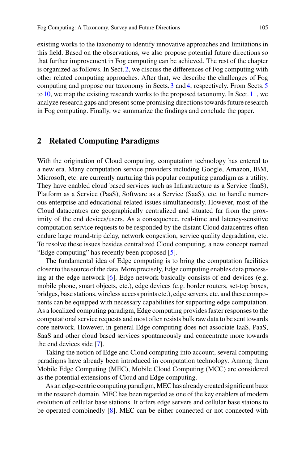existing works to the taxonomy to identify innovative approaches and limitations in this field. Based on the observations, we also propose potential future directions so that further improvement in Fog computing can be achieved. The rest of the chapter is organized as follows. In Sect. [2,](#page-2-0) we discuss the differences of Fog computing with other related computing approaches. After that, we describe the challenges of Fog computing and propose our taxonomy in Sects. [3](#page-3-0) and [4,](#page-5-0) respectively. From Sects. [5](#page-7-0) to [10,](#page-19-0) we map the existing research works to the proposed taxonomy. In Sect. [11,](#page-20-0) we analyze research gaps and present some promising directions towards future research in Fog computing. Finally, we summarize the findings and conclude the paper.

#### <span id="page-2-0"></span>**2 Related Computing Paradigms**

With the origination of Cloud computing, computation technology has entered to a new era. Many computation service providers including Google, Amazon, IBM, Microsoft, etc. are currently nurturing this popular computing paradigm as a utility. They have enabled cloud based services such as Infrastructure as a Service (IaaS), Platform as a Service (PaaS), Software as a Service (SaaS), etc. to handle numerous enterprise and educational related issues simultaneously. However, most of the Cloud datacentres are geographically centralized and situated far from the proximity of the end devices/users. As a consequence, real-time and latency-sensitive computation service requests to be responded by the distant Cloud datacentres often endure large round-trip delay, network congestion, service quality degradation, etc. To resolve these issues besides centralized Cloud computing, a new concept named "Edge computing" has recently been proposed [\[5](#page-25-4)].

The fundamental idea of Edge computing is to bring the computation facilities closer to the source of the data. More precisely, Edge computing enables data processing at the edge network [\[6](#page-25-5)]. Edge network basically consists of end devices (e.g. mobile phone, smart objects, etc.), edge devices (e.g. border routers, set-top boxes, bridges, base stations, wireless access points etc.), edge servers, etc. and these components can be equipped with necessary capabilities for supporting edge computation. As a localized computing paradigm, Edge computing provides faster responses to the computational service requests and most often resists bulk raw data to be sent towards core network. However, in general Edge computing does not associate IaaS, PaaS, SaaS and other cloud based services spontaneously and concentrate more towards the end devices side [\[7](#page-25-6)].

Taking the notion of Edge and Cloud computing into account, several computing paradigms have already been introduced in computation technology. Among them Mobile Edge Computing (MEC), Mobile Cloud Computing (MCC) are considered as the potential extensions of Cloud and Edge computing.

As an edge-centric computing paradigm,MEC has already created significant buzz in the research domain. MEC has been regarded as one of the key enablers of modern evolution of cellular base stations. It offers edge servers and cellular base staions to be operated combinedly [\[8\]](#page-25-7). MEC can be either connected or not connected with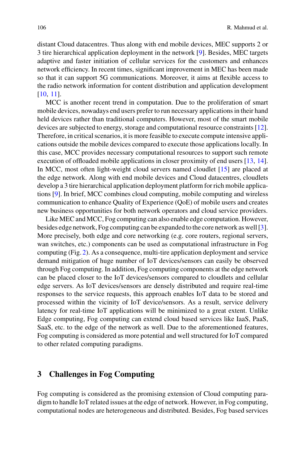distant Cloud datacentres. Thus along with end mobile devices, MEC supports 2 or 3 tire hierarchical application deployment in the network [\[9\]](#page-25-8). Besides, MEC targets adaptive and faster initiation of cellular services for the customers and enhances network efficiency. In recent times, significant improvement in MEC has been made so that it can support 5G communications. Moreover, it aims at flexible access to the radio network information for content distribution and application development [\[10,](#page-25-9) [11\]](#page-25-10).

MCC is another recent trend in computation. Due to the proliferation of smart mobile devices, nowadays end users prefer to run necessary applications in their hand held devices rather than traditional computers. However, most of the smart mobile devices are subjected to energy, storage and computational resource constraints [\[12](#page-25-11)]. Therefore, in critical scenarios, it is more feasible to execute compute intensive applications outside the mobile devices compared to execute those applications locally. In this case, MCC provides necessary computational resources to support such remote execution of offloaded mobile applications in closer proximity of end users [\[13](#page-25-12), [14](#page-25-13)]. In MCC, most often light-weight cloud servers named cloudlet [\[15\]](#page-26-0) are placed at the edge network. Along with end mobile devices and Cloud datacentres, cloudlets develop a 3 tire hierarchical application deployment platform for rich mobile applications [\[9](#page-25-8)]. In brief, MCC combines cloud computing, mobile computing and wireless communication to enhance Quality of Experience (QoE) of mobile users and creates new business opportunities for both network operators and cloud service providers.

Like MEC and MCC, Fog computing can also enable edge computation. However, besides edge network, Fog computing can be expanded to the core network as well [\[3](#page-25-2)]. More precisely, both edge and core networking (e.g. core routers, regional servers, wan switches, etc.) components can be used as computational infrastructure in Fog computing (Fig. [2\)](#page-4-0). As a consequence, multi-tire application deployment and service demand mitigation of huge number of IoT devices/sensors can easily be observed through Fog computing. In addition, Fog computing components at the edge network can be placed closer to the IoT devices/sensors compared to cloudlets and cellular edge servers. As IoT devices/sensors are densely distributed and require real-time responses to the service requests, this approach enables IoT data to be stored and processed within the vicinity of IoT device/sensors. As a result, service delivery latency for real-time IoT applications will be minimized to a great extent. Unlike Edge computing, Fog computing can extend cloud based services like IaaS, PaaS, SaaS, etc. to the edge of the network as well. Due to the aforementioned features, Fog computing is considered as more potential and well structured for IoT compared to other related computing paradigms.

## <span id="page-3-0"></span>**3 Challenges in Fog Computing**

Fog computing is considered as the promising extension of Cloud computing paradigm to handle IoT related issues at the edge of network. However, in Fog computing, computational nodes are heterogeneous and distributed. Besides, Fog based services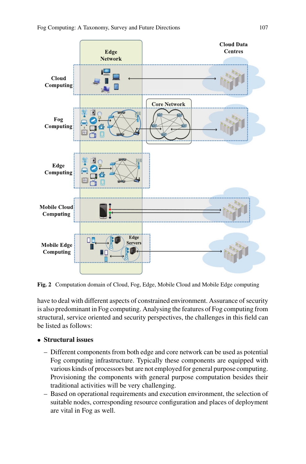

<span id="page-4-0"></span>**Fig. 2** Computation domain of Cloud, Fog, Edge, Mobile Cloud and Mobile Edge computing

have to deal with different aspects of constrained environment. Assurance of security is also predominant in Fog computing. Analysing the features of Fog computing from structural, service oriented and security perspectives, the challenges in this field can be listed as follows:

#### • **Structural issues**

- Different components from both edge and core network can be used as potential Fog computing infrastructure. Typically these components are equipped with various kinds of processors but are not employed for general purpose computing. Provisioning the components with general purpose computation besides their traditional activities will be very challenging.
- Based on operational requirements and execution environment, the selection of suitable nodes, corresponding resource configuration and places of deployment are vital in Fog as well.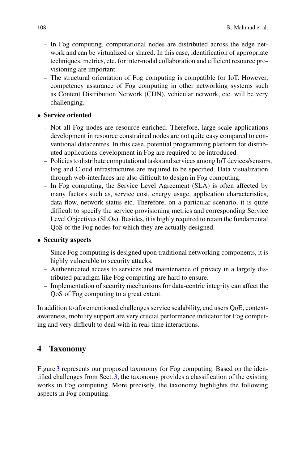- In Fog computing, computational nodes are distributed across the edge network and can be virtualized or shared. In this case, identification of appropriate techniques, metrics, etc. for inter-nodal collaboration and efficient resource provisioning are important.
- The structural orientation of Fog computing is compatible for IoT. However, competency assurance of Fog computing in other networking systems such as Content Distribution Network (CDN), vehicular network, etc. will be very challenging.

#### • **Service oriented**

- Not all Fog nodes are resource enriched. Therefore, large scale applications development in resource constrained nodes are not quite easy compared to conventional datacentres. In this case, potential programming platform for distributed applications development in Fog are required to be introduced.
- Policies to distribute computational tasks and services among IoT devices/sensors, Fog and Cloud infrastructures are required to be specified. Data visualization through web-interfaces are also difficult to design in Fog computing.
- In Fog computing, the Service Level Agreement (SLA) is often affected by many factors such as, service cost, energy usage, application characteristics, data flow, network status etc. Therefore, on a particular scenario, it is quite difficult to specify the service provisioning metrics and corresponding Service Level Objectives (SLOs). Besides, it is highly required to retain the fundamental QoS of the Fog nodes for which they are actually designed.

#### • **Security aspects**

- Since Fog computing is designed upon traditional networking components, it is highly vulnerable to security attacks.
- Authenticated access to services and maintenance of privacy in a largely distributed paradigm like Fog computing are hard to ensure.
- Implementation of security mechanisms for data-centric integrity can affect the QoS of Fog computing to a great extent.

In addition to aforementioned challenges service scalability, end users QoE, contextawareness, mobility support are very crucial performance indicator for Fog computing and very difficult to deal with in real-time interactions.

# <span id="page-5-0"></span>**4 Taxonomy**

Figure [3](#page-6-0) represents our proposed taxonomy for Fog computing. Based on the identified challenges from Sect. [3,](#page-3-0) the taxonomy provides a classification of the existing works in Fog computing. More precisely, the taxonomy highlights the following aspects in Fog computing.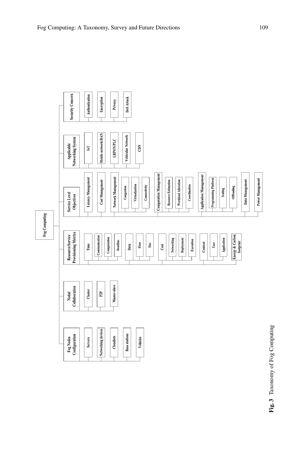

<span id="page-6-0"></span>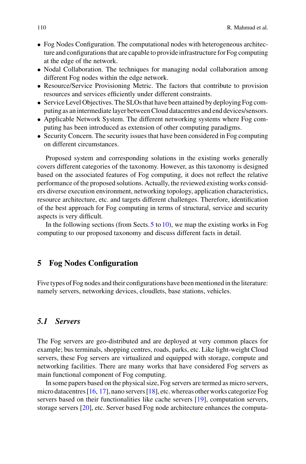- Fog Nodes Configuration. The computational nodes with heterogeneous architecture and configurations that are capable to provide infrastructure for Fog computing at the edge of the network.
- Nodal Collaboration. The techniques for managing nodal collaboration among different Fog nodes within the edge network.
- Resource/Service Provisioning Metric. The factors that contribute to provision resources and services efficiently under different constraints.
- Service Level Objectives. The SLOs that have been attained by deploying Fog computing as an intermediate layer between Cloud datacentres and end devices/sensors.
- Applicable Network System. The different networking systems where Fog computing has been introduced as extension of other computing paradigms.
- Security Concern. The security issues that have been considered in Fog computing on different circumstances.

Proposed system and corresponding solutions in the existing works generally covers different categories of the taxonomy. However, as this taxonomy is designed based on the associated features of Fog computing, it does not reflect the relative performance of the proposed solutions. Actually, the reviewed existing works considers diverse execution environment, networking topology, application characteristics, resource architecture, etc. and targets different challenges. Therefore, identification of the best approach for Fog computing in terms of structural, service and security aspects is very difficult.

In the following sections (from Sects.  $5$  to  $10$ ), we map the existing works in Fog computing to our proposed taxonomy and discuss different facts in detail.

## <span id="page-7-0"></span>**5 Fog Nodes Configuration**

Five types of Fog nodes and their configurations have been mentioned in the literature: namely servers, networking devices, cloudlets, base stations, vehicles.

## *5.1 Servers*

The Fog servers are geo-distributed and are deployed at very common places for example; bus terminals, shopping centres, roads, parks, etc. Like light-weight Cloud servers, these Fog servers are virtualized and equipped with storage, compute and networking facilities. There are many works that have considered Fog servers as main functional component of Fog computing.

In some papers based on the physical size, Fog servers are termed as micro servers, micro datacentres [\[16,](#page-26-1) [17](#page-26-2)], nano servers [\[18](#page-26-3)], etc. whereas other works categorize Fog servers based on their functionalities like cache servers [\[19\]](#page-26-4), computation servers, storage servers [\[20](#page-26-5)], etc. Server based Fog node architecture enhances the computa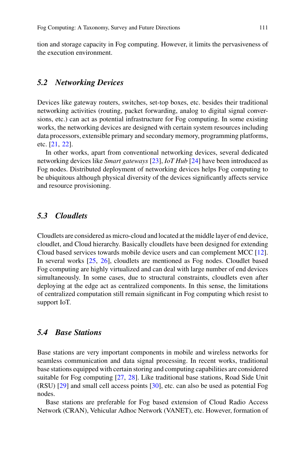tion and storage capacity in Fog computing. However, it limits the pervasiveness of the execution environment.

### *5.2 Networking Devices*

Devices like gateway routers, switches, set-top boxes, etc. besides their traditional networking activities (routing, packet forwarding, analog to digital signal conversions, etc.) can act as potential infrastructure for Fog computing. In some existing works, the networking devices are designed with certain system resources including data processors, extensible primary and secondary memory, programming platforms, etc. [\[21](#page-26-6), [22](#page-26-7)].

In other works, apart from conventional networking devices, several dedicated networking devices like *Smart gateways* [\[23](#page-26-8)], *IoT Hub* [\[24\]](#page-26-9) have been introduced as Fog nodes. Distributed deployment of networking devices helps Fog computing to be ubiquitous although physical diversity of the devices significantly affects service and resource provisioning.

## *5.3 Cloudlets*

Cloudlets are considered as micro-cloud and located at the middle layer of end device, cloudlet, and Cloud hierarchy. Basically cloudlets have been designed for extending Cloud based services towards mobile device users and can complement MCC [\[12](#page-25-11)]. In several works [\[25,](#page-26-10) [26\]](#page-26-11), cloudlets are mentioned as Fog nodes. Cloudlet based Fog computing are highly virtualized and can deal with large number of end devices simultaneously. In some cases, due to structural constraints, cloudlets even after deploying at the edge act as centralized components. In this sense, the limitations of centralized computation still remain significant in Fog computing which resist to support IoT.

# *5.4 Base Stations*

Base stations are very important components in mobile and wireless networks for seamless communication and data signal processing. In recent works, traditional base stations equipped with certain storing and computing capabilities are considered suitable for Fog computing [\[27](#page-26-12), [28](#page-26-13)]. Like traditional base stations, Road Side Unit (RSU) [\[29](#page-26-14)] and small cell access points [\[30](#page-26-15)], etc. can also be used as potential Fog nodes.

Base stations are preferable for Fog based extension of Cloud Radio Access Network (CRAN), Vehicular Adhoc Network (VANET), etc. However, formation of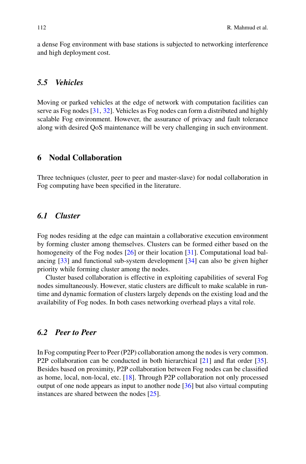a dense Fog environment with base stations is subjected to networking interference and high deployment cost.

#### *5.5 Vehicles*

Moving or parked vehicles at the edge of network with computation facilities can serve as Fog nodes [\[31,](#page-26-16) [32](#page-26-17)]. Vehicles as Fog nodes can form a distributed and highly scalable Fog environment. However, the assurance of privacy and fault tolerance along with desired QoS maintenance will be very challenging in such environment.

#### **6 Nodal Collaboration**

Three techniques (cluster, peer to peer and master-slave) for nodal collaboration in Fog computing have been specified in the literature.

## *6.1 Cluster*

Fog nodes residing at the edge can maintain a collaborative execution environment by forming cluster among themselves. Clusters can be formed either based on the homogeneity of the Fog nodes [\[26](#page-26-11)] or their location [\[31\]](#page-26-16). Computational load balancing [\[33\]](#page-27-0) and functional sub-system development [\[34\]](#page-27-1) can also be given higher priority while forming cluster among the nodes.

Cluster based collaboration is effective in exploiting capabilities of several Fog nodes simultaneously. However, static clusters are difficult to make scalable in runtime and dynamic formation of clusters largely depends on the existing load and the availability of Fog nodes. In both cases networking overhead plays a vital role.

#### *6.2 Peer to Peer*

In Fog computing Peer to Peer (P2P) collaboration among the nodes is very common. P2P collaboration can be conducted in both hierarchical [\[21\]](#page-26-6) and flat order [\[35](#page-27-2)]. Besides based on proximity, P2P collaboration between Fog nodes can be classified as home, local, non-local, etc. [\[18\]](#page-26-3). Through P2P collaboration not only processed output of one node appears as input to another node [\[36\]](#page-27-3) but also virtual computing instances are shared between the nodes [\[25](#page-26-10)].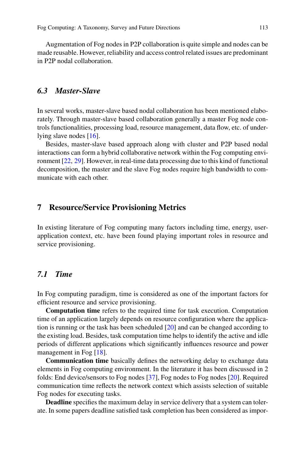Augmentation of Fog nodes in P2P collaboration is quite simple and nodes can be made reusable. However, reliability and access control related issues are predominant in P2P nodal collaboration.

## *6.3 Master-Slave*

In several works, master-slave based nodal collaboration has been mentioned elaborately. Through master-slave based collaboration generally a master Fog node controls functionalities, processing load, resource management, data flow, etc. of underlying slave nodes [\[16](#page-26-1)].

Besides, master-slave based approach along with cluster and P2P based nodal interactions can form a hybrid collaborative network within the Fog computing environment [\[22,](#page-26-7) [29\]](#page-26-14). However, in real-time data processing due to this kind of functional decomposition, the master and the slave Fog nodes require high bandwidth to communicate with each other.

### **7 Resource/Service Provisioning Metrics**

In existing literature of Fog computing many factors including time, energy, userapplication context, etc. have been found playing important roles in resource and service provisioning.

#### *7.1 Time*

In Fog computing paradigm, time is considered as one of the important factors for efficient resource and service provisioning.

**Computation time** refers to the required time for task execution. Computation time of an application largely depends on resource configuration where the application is running or the task has been scheduled [\[20\]](#page-26-5) and can be changed according to the existing load. Besides, task computation time helps to identify the active and idle periods of different applications which significantly influences resource and power management in Fog [\[18](#page-26-3)].

**Communication time** basically defines the networking delay to exchange data elements in Fog computing environment. In the literature it has been discussed in 2 folds: End device/sensors to Fog nodes [\[37](#page-27-4)], Fog nodes to Fog nodes [\[20\]](#page-26-5). Required communication time reflects the network context which assists selection of suitable Fog nodes for executing tasks.

**Deadline** specifies the maximum delay in service delivery that a system can tolerate. In some papers deadline satisfied task completion has been considered as impor-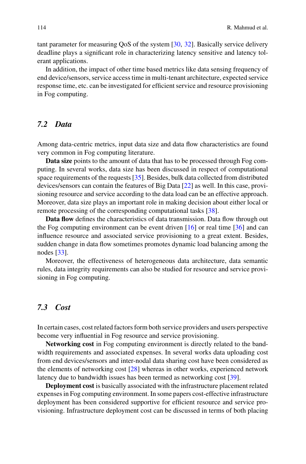tant parameter for measuring QoS of the system [\[30](#page-26-15), [32\]](#page-26-17). Basically service delivery deadline plays a significant role in characterizing latency sensitive and latency tolerant applications.

In addition, the impact of other time based metrics like data sensing frequency of end device/sensors, service access time in multi-tenant architecture, expected service response time, etc. can be investigated for efficient service and resource provisioning in Fog computing.

## *7.2 Data*

Among data-centric metrics, input data size and data flow characteristics are found very common in Fog computing literature.

**Data size** points to the amount of data that has to be processed through Fog computing. In several works, data size has been discussed in respect of computational space requirements of the requests [\[35](#page-27-2)]. Besides, bulk data collected from distributed devices/sensors can contain the features of Big Data [\[22](#page-26-7)] as well. In this case, provisioning resource and service according to the data load can be an effective approach. Moreover, data size plays an important role in making decision about either local or remote processing of the corresponding computational tasks [\[38\]](#page-27-5).

**Data flow** defines the characteristics of data transmission. Data flow through out the Fog computing environment can be event driven [\[16](#page-26-1)] or real time [\[36](#page-27-3)] and can influence resource and associated service provisioning to a great extent. Besides, sudden change in data flow sometimes promotes dynamic load balancing among the nodes [\[33\]](#page-27-0).

Moreover, the effectiveness of heterogeneous data architecture, data semantic rules, data integrity requirements can also be studied for resource and service provisioning in Fog computing.

## *7.3 Cost*

In certain cases, cost related factors form both service providers and users perspective become very influential in Fog resource and service provisioning.

**Networking cost** in Fog computing environment is directly related to the bandwidth requirements and associated expenses. In several works data uploading cost from end devices/sensors and inter-nodal data sharing cost have been considered as the elements of networking cost [\[28\]](#page-26-13) whereas in other works, experienced network latency due to bandwidth issues has been termed as networking cost [\[39](#page-27-6)].

**Deployment cost** is basically associated with the infrastructure placement related expenses in Fog computing environment. In some papers cost-effective infrastructure deployment has been considered supportive for efficient resource and service provisioning. Infrastructure deployment cost can be discussed in terms of both placing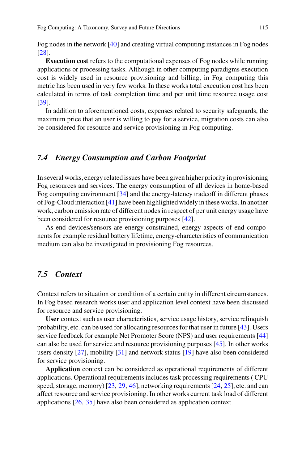Fog nodes in the network [\[40\]](#page-27-7) and creating virtual computing instances in Fog nodes [\[28\]](#page-26-13).

**Execution cost** refers to the computational expenses of Fog nodes while running applications or processing tasks. Although in other computing paradigms execution cost is widely used in resource provisioning and billing, in Fog computing this metric has been used in very few works. In these works total execution cost has been calculated in terms of task completion time and per unit time resource usage cost [\[39\]](#page-27-6).

In addition to aforementioned costs, expenses related to security safeguards, the maximum price that an user is willing to pay for a service, migration costs can also be considered for resource and service provisioning in Fog computing.

#### *7.4 Energy Consumption and Carbon Footprint*

In several works, energy related issues have been given higher priority in provisioning Fog resources and services. The energy consumption of all devices in home-based Fog computing environment [\[34](#page-27-1)] and the energy-latency tradeoff in different phases of Fog-Cloud interaction [\[41](#page-27-8)] have been highlighted widely in these works. In another work, carbon emission rate of different nodes in respect of per unit energy usage have been considered for resource provisioning purposes [\[42\]](#page-27-9).

As end devices/sensors are energy-constrained, energy aspects of end components for example residual battery lifetime, energy-characteristics of communication medium can also be investigated in provisioning Fog resources.

#### *7.5 Context*

Context refers to situation or condition of a certain entity in different circumstances. In Fog based research works user and application level context have been discussed for resource and service provisioning.

**User** context such as user characteristics, service usage history, service relinquish probability, etc. can be used for allocating resources for that user in future [\[43\]](#page-27-10). Users service feedback for example Net Promoter Score (NPS) and user requirements [\[44\]](#page-27-11) can also be used for service and resource provisioning purposes [\[45\]](#page-27-12). In other works users density [\[27](#page-26-12)], mobility [\[31](#page-26-16)] and network status [\[19](#page-26-4)] have also been considered for service provisioning.

**Application** context can be considered as operational requirements of different applications. Operational requirements includes task processing requirements ( CPU speed, storage, memory) [\[23](#page-26-8), [29](#page-26-14), [46](#page-27-13)], networking requirements [\[24,](#page-26-9) [25\]](#page-26-10), etc. and can affect resource and service provisioning. In other works current task load of different applications [\[26](#page-26-11), [35](#page-27-2)] have also been considered as application context.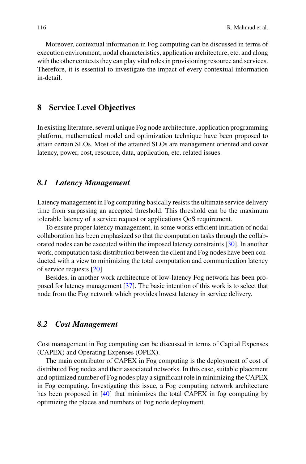Moreover, contextual information in Fog computing can be discussed in terms of execution environment, nodal characteristics, application architecture, etc. and along with the other contexts they can play vital roles in provisioning resource and services. Therefore, it is essential to investigate the impact of every contextual information in-detail.

### **8 Service Level Objectives**

In existing literature, several unique Fog node architecture, application programming platform, mathematical model and optimization technique have been proposed to attain certain SLOs. Most of the attained SLOs are management oriented and cover latency, power, cost, resource, data, application, etc. related issues.

#### *8.1 Latency Management*

Latency management in Fog computing basically resists the ultimate service delivery time from surpassing an accepted threshold. This threshold can be the maximum tolerable latency of a service request or applications QoS requirement.

To ensure proper latency management, in some works efficient initiation of nodal collaboration has been emphasized so that the computation tasks through the collaborated nodes can be executed within the imposed latency constraints [\[30](#page-26-15)]. In another work, computation task distribution between the client and Fog nodes have been conducted with a view to minimizing the total computation and communication latency of service requests [\[20](#page-26-5)].

Besides, in another work architecture of low-latency Fog network has been proposed for latency management [\[37](#page-27-4)]. The basic intention of this work is to select that node from the Fog network which provides lowest latency in service delivery.

#### *8.2 Cost Management*

Cost management in Fog computing can be discussed in terms of Capital Expenses (CAPEX) and Operating Expenses (OPEX).

The main contributor of CAPEX in Fog computing is the deployment of cost of distributed Fog nodes and their associated networks. In this case, suitable placement and optimized number of Fog nodes play a significant role in minimizing the CAPEX in Fog computing. Investigating this issue, a Fog computing network architecture has been proposed in [\[40](#page-27-7)] that minimizes the total CAPEX in fog computing by optimizing the places and numbers of Fog node deployment.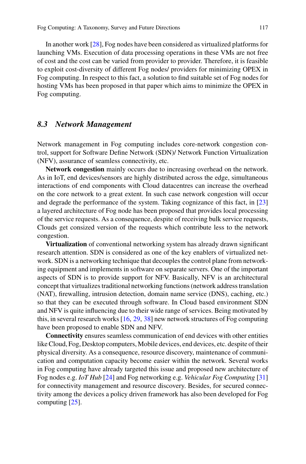In another work [\[28\]](#page-26-13), Fog nodes have been considered as virtualized platforms for launching VMs. Execution of data processing operations in these VMs are not free of cost and the cost can be varied from provider to provider. Therefore, it is feasible to exploit cost-diversity of different Fog nodes/ providers for minimizing OPEX in Fog computing. In respect to this fact, a solution to find suitable set of Fog nodes for hosting VMs has been proposed in that paper which aims to minimize the OPEX in Fog computing.

#### *8.3 Network Management*

Network management in Fog computing includes core-network congestion control, support for Software Define Network (SDN)/ Network Function Virtualization (NFV), assurance of seamless connectivity, etc.

**Network congestion** mainly occurs due to increasing overhead on the network. As in IoT, end devices/sensors are highly distributed across the edge, simultaneous interactions of end components with Cloud datacentres can increase the overhead on the core network to a great extent. In such case network congestion will occur and degrade the performance of the system. Taking cognizance of this fact, in [\[23\]](#page-26-8) a layered architecture of Fog node has been proposed that provides local processing of the service requests. As a consequence, despite of receiving bulk service requests, Clouds get consized version of the requests which contribute less to the network congestion.

**Virtualization** of conventional networking system has already drawn significant research attention. SDN is considered as one of the key enablers of virtualized network. SDN is a networking technique that decouples the control plane from networking equipment and implements in software on separate servers. One of the important aspects of SDN is to provide support for NFV. Basically, NFV is an architectural concept that virtualizes traditional networking functions (network address translation (NAT), firewalling, intrusion detection, domain name service (DNS), caching, etc.) so that they can be executed through software. In Cloud based environment SDN and NFV is quite influencing due to their wide range of services. Being motivated by this, in several research works [\[16](#page-26-1), [29](#page-26-14), [38\]](#page-27-5) new network structures of Fog computing have been proposed to enable SDN and NFV.

**Connectivity** ensures seamless communication of end devices with other entities like Cloud, Fog, Desktop computers, Mobile devices, end devices, etc. despite of their physical diversity. As a consequence, resource discovery, maintenance of communication and computation capacity become easier within the network. Several works in Fog computing have already targeted this issue and proposed new architecture of Fog nodes e.g. *IoT Hub* [\[24](#page-26-9)] and Fog networking e.g. *Vehicular Fog Computing* [\[31\]](#page-26-16) for connectivity management and resource discovery. Besides, for secured connectivity among the devices a policy driven framework has also been developed for Fog computing [\[25\]](#page-26-10).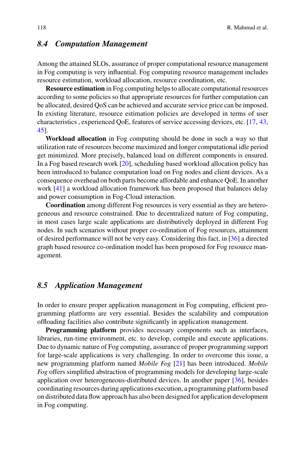#### *8.4 Computation Management*

Among the attained SLOs, assurance of proper computational resource management in Fog computing is very influential. Fog computing resource management includes resource estimation, workload allocation, resource coordination, etc.

**Resource estimation** in Fog computing helps to allocate computational resources according to some policies so that appropriate resources for further computation can be allocated, desired QoS can be achieved and accurate service price can be imposed. In existing literature, resource estimation policies are developed in terms of user characteristics , experienced QoE, features of service accessing devices, etc. [\[17,](#page-26-2) [43,](#page-27-10) [45\]](#page-27-12).

**Workload allocation** in Fog computing should be done in such a way so that utilization rate of resources become maximized and longer computational idle period get minimized. More precisely, balanced load on different components is ensured. In a Fog based research work [\[20\]](#page-26-5), scheduling based workload allocation policy has been introduced to balance computation load on Fog nodes and client devices. As a consequence overhead on both parts become affordable and enhance QoE. In another work [\[41](#page-27-8)] a workload allocation framework has been proposed that balances delay and power consumption in Fog-Cloud interaction.

**Coordination** among different Fog resources is very essential as they are heterogeneous and resource constrained. Due to decentralized nature of Fog computing, in most cases large scale applications are distributively deployed in different Fog nodes. In such scenarios without proper co-ordination of Fog resources, attainment of desired performance will not be very easy. Considering this fact, in [\[36](#page-27-3)] a directed graph based resource co-ordination model has been proposed for Fog resource management.

## *8.5 Application Management*

In order to ensure proper application management in Fog computing, efficient programming platforms are very essential. Besides the scalability and computation offloading facilities also contribute significantly in application management.

**Programming platform** provides necessary components such as interfaces, libraries, run-time environment, etc. to develop, compile and execute applications. Due to dynamic nature of Fog computing, assurance of proper programming support for large-scale applications is very challenging. In order to overcome this issue, a new programming platform named *Mobile Fog* [\[21](#page-26-6)] has been introduced. *Mobile Fog* offers simplified abstraction of programming models for developing large-scale application over heterogeneous-distributed devices. In another paper [\[36\]](#page-27-3), besides coordinating resources during applications execution, a programming platform based on distributed data flow approach has also been designed for application development in Fog computing.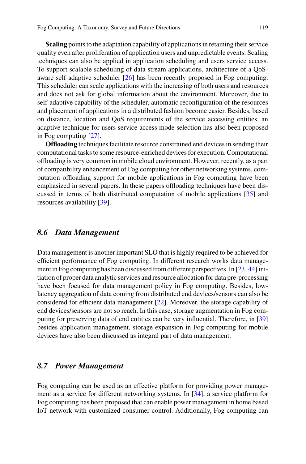**Scaling** points to the adaptation capability of applications in retaining their service quality even after proliferation of application users and unpredictable events. Scaling techniques can also be applied in application scheduling and users service access. To support scalable scheduling of data stream applications, architecture of a QoSaware self adaptive scheduler [\[26\]](#page-26-11) has been recently proposed in Fog computing. This scheduler can scale applications with the increasing of both users and resources and does not ask for global information about the environment. Moreover, due to self-adaptive capability of the scheduler, automatic reconfiguration of the resources and placement of applications in a distributed fashion become easier. Besides, based on distance, location and QoS requirements of the service accessing entities, an adaptive technique for users service access mode selection has also been proposed in Fog computing [\[27](#page-26-12)].

**Offloading** techniques facilitate resource constrained end devices in sending their computational tasks to some resource-enriched devices for execution. Computational offloading is very common in mobile cloud environment. However, recently, as a part of compatibility enhancement of Fog computing for other networking systems, computation offloading support for mobile applications in Fog computing have been emphasized in several papers. In these papers offloading techniques have been discussed in terms of both distributed computation of mobile applications [\[35\]](#page-27-2) and resources availability [\[39\]](#page-27-6).

#### *8.6 Data Management*

Data management is another important SLO that is highly required to be achieved for efficient performance of Fog computing. In different research works data management in Fog computing has been discussed from different perspectives. In [\[23,](#page-26-8) [44\]](#page-27-11) initiation of proper data analytic services and resource allocation for data pre-processing have been focused for data management policy in Fog computing. Besides, lowlatency aggregation of data coming from distributed end devices/sensors can also be considered for efficient data management [\[22\]](#page-26-7). Moreover, the storage capability of end devices/sensors are not so reach. In this case, storage augmentation in Fog computing for preserving data of end entities can be very influential. Therefore, in [\[39\]](#page-27-6) besides application management, storage expansion in Fog computing for mobile devices have also been discussed as integral part of data management.

## *8.7 Power Management*

Fog computing can be used as an effective platform for providing power management as a service for different networking systems. In [\[34\]](#page-27-1), a service platform for Fog computing has been proposed that can enable power management in home based IoT network with customized consumer control. Additionally, Fog computing can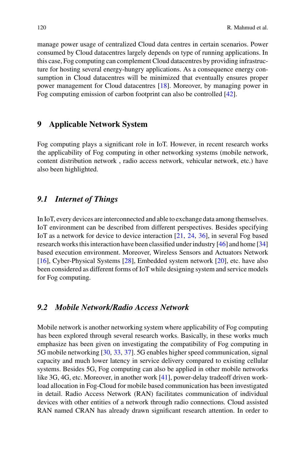manage power usage of centralized Cloud data centres in certain scenarios. Power consumed by Cloud datacentres largely depends on type of running applications. In this case, Fog computing can complement Cloud datacentres by providing infrastructure for hosting several energy-hungry applications. As a consequence energy consumption in Cloud datacentres will be minimized that eventually ensures proper power management for Cloud datacentres [\[18\]](#page-26-3). Moreover, by managing power in Fog computing emission of carbon footprint can also be controlled [\[42](#page-27-9)].

#### **9 Applicable Network System**

Fog computing plays a significant role in IoT. However, in recent research works the applicability of Fog computing in other networking systems (mobile network, content distribution network , radio access network, vehicular network, etc.) have also been highlighted.

#### *9.1 Internet of Things*

In IoT, every devices are interconnected and able to exchange data among themselves. IoT environment can be described from different perspectives. Besides specifying IoT as a network for device to device interaction [\[21,](#page-26-6) [24](#page-26-9), [36](#page-27-3)], in several Fog based research works this interaction have been classified under industry [\[46](#page-27-13)] and home [\[34\]](#page-27-1) based execution environment. Moreover, Wireless Sensors and Actuators Network [\[16\]](#page-26-1), Cyber-Physical Systems [\[28\]](#page-26-13), Embedded system network [\[20](#page-26-5)], etc. have also been considered as different forms of IoT while designing system and service models for Fog computing.

#### *9.2 Mobile Network/Radio Access Network*

Mobile network is another networking system where applicability of Fog computing has been explored through several research works. Basically, in these works much emphasize has been given on investigating the compatibility of Fog computing in 5G mobile networking [\[30](#page-26-15), [33](#page-27-0), [37\]](#page-27-4). 5G enables higher speed communication, signal capacity and much lower latency in service delivery compared to existing cellular systems. Besides 5G, Fog computing can also be applied in other mobile networks like 3G, 4G, etc. Moreover, in another work [\[41](#page-27-8)], power-delay tradeoff driven workload allocation in Fog-Cloud for mobile based communication has been investigated in detail. Radio Access Network (RAN) facilitates communication of individual devices with other entities of a network through radio connections. Cloud assisted RAN named CRAN has already drawn significant research attention. In order to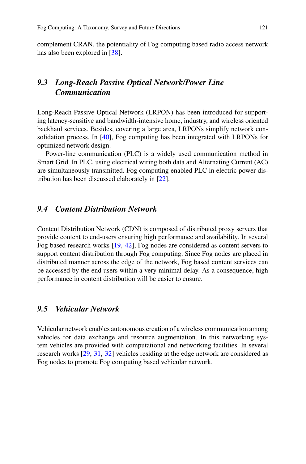complement CRAN, the potentiality of Fog computing based radio access network has also been explored in [\[38\]](#page-27-5).

# *9.3 Long-Reach Passive Optical Network/Power Line Communication*

Long-Reach Passive Optical Network (LRPON) has been introduced for supporting latency-sensitive and bandwidth-intensive home, industry, and wireless oriented backhaul services. Besides, covering a large area, LRPONs simplify network consolidation process. In [\[40\]](#page-27-7), Fog computing has been integrated with LRPONs for optimized network design.

Power-line communication (PLC) is a widely used communication method in Smart Grid. In PLC, using electrical wiring both data and Alternating Current (AC) are simultaneously transmitted. Fog computing enabled PLC in electric power distribution has been discussed elaborately in [\[22](#page-26-7)].

### *9.4 Content Distribution Network*

Content Distribution Network (CDN) is composed of distributed proxy servers that provide content to end-users ensuring high performance and availability. In several Fog based research works [\[19,](#page-26-4) [42\]](#page-27-9), Fog nodes are considered as content servers to support content distribution through Fog computing. Since Fog nodes are placed in distributed manner across the edge of the network, Fog based content services can be accessed by the end users within a very minimal delay. As a consequence, high performance in content distribution will be easier to ensure.

## *9.5 Vehicular Network*

Vehicular network enables autonomous creation of a wireless communication among vehicles for data exchange and resource augmentation. In this networking system vehicles are provided with computational and networking facilities. In several research works [\[29](#page-26-14), [31,](#page-26-16) [32\]](#page-26-17) vehicles residing at the edge network are considered as Fog nodes to promote Fog computing based vehicular network.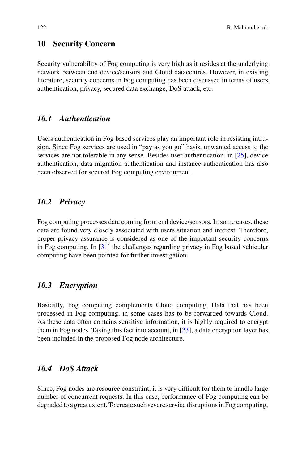### <span id="page-19-0"></span>**10 Security Concern**

Security vulnerability of Fog computing is very high as it resides at the underlying network between end device/sensors and Cloud datacentres. However, in existing literature, security concerns in Fog computing has been discussed in terms of users authentication, privacy, secured data exchange, DoS attack, etc.

# *10.1 Authentication*

Users authentication in Fog based services play an important role in resisting intrusion. Since Fog services are used in "pay as you go" basis, unwanted access to the services are not tolerable in any sense. Besides user authentication, in [\[25\]](#page-26-10), device authentication, data migration authentication and instance authentication has also been observed for secured Fog computing environment.

## *10.2 Privacy*

Fog computing processes data coming from end device/sensors. In some cases, these data are found very closely associated with users situation and interest. Therefore, proper privacy assurance is considered as one of the important security concerns in Fog computing. In [\[31\]](#page-26-16) the challenges regarding privacy in Fog based vehicular computing have been pointed for further investigation.

## *10.3 Encryption*

Basically, Fog computing complements Cloud computing. Data that has been processed in Fog computing, in some cases has to be forwarded towards Cloud. As these data often contains sensitive information, it is highly required to encrypt them in Fog nodes. Taking this fact into account, in [\[23](#page-26-8)], a data encryption layer has been included in the proposed Fog node architecture.

# *10.4 DoS Attack*

Since, Fog nodes are resource constraint, it is very difficult for them to handle large number of concurrent requests. In this case, performance of Fog computing can be degraded to a great extent. To create such severe service disruptions in Fog computing,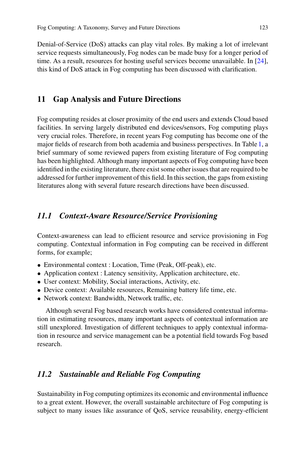Denial-of-Service (DoS) attacks can play vital roles. By making a lot of irrelevant service requests simultaneously, Fog nodes can be made busy for a longer period of time. As a result, resources for hosting useful services become unavailable. In [\[24](#page-26-9)], this kind of DoS attack in Fog computing has been discussed with clarification.

## <span id="page-20-0"></span>**11 Gap Analysis and Future Directions**

Fog computing resides at closer proximity of the end users and extends Cloud based facilities. In serving largely distributed end devices/sensors, Fog computing plays very crucial roles. Therefore, in recent years Fog computing has become one of the major fields of research from both academia and business perspectives. In Table [1,](#page-21-0) a brief summary of some reviewed papers from existing literature of Fog computing has been highlighted. Although many important aspects of Fog computing have been identified in the existing literature, there exist some other issues that are required to be addressed for further improvement of this field. In this section, the gaps from existing literatures along with several future research directions have been discussed.

## *11.1 Context-Aware Resource/Service Provisioning*

Context-awareness can lead to efficient resource and service provisioning in Fog computing. Contextual information in Fog computing can be received in different forms, for example;

- Environmental context : Location, Time (Peak, Off-peak), etc.
- Application context : Latency sensitivity, Application architecture, etc.
- User context: Mobility, Social interactions, Activity, etc.
- Device context: Available resources, Remaining battery life time, etc.
- Network context: Bandwidth, Network traffic, etc.

Although several Fog based research works have considered contextual information in estimating resources, many important aspects of contextual information are still unexplored. Investigation of different techniques to apply contextual information in resource and service management can be a potential field towards Fog based research.

## *11.2 Sustainable and Reliable Fog Computing*

Sustainability in Fog computing optimizes its economic and environmental influence to a great extent. However, the overall sustainable architecture of Fog computing is subject to many issues like assurance of QoS, service reusability, energy-efficient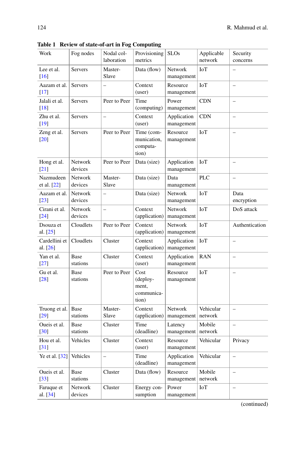| Work                               | Fog nodes                 | Nodal col-               | Provisioning                                     | <b>SLOs</b>                  | Applicable           | Security                 |
|------------------------------------|---------------------------|--------------------------|--------------------------------------------------|------------------------------|----------------------|--------------------------|
|                                    |                           | laboration               | metrics                                          |                              | network              | concerns                 |
| Lee et al.<br>[16]                 | Servers                   | Master-<br>Slave         | Data (flow)                                      | <b>Network</b><br>management | IoT                  |                          |
| Aazam et al.<br>[17]               | <b>Servers</b>            | $\overline{a}$           | Context<br>(user)                                | Resource<br>management       | IoT                  |                          |
| Jalali et al.<br>[18]              | Servers                   | Peer to Peer             | Time<br>(computing)                              | Power<br>management          | <b>CDN</b>           | $\overline{\phantom{0}}$ |
| Zhu et al.<br>[19]                 | <b>Servers</b>            | $\overline{\phantom{0}}$ | Context<br>(user)                                | Application<br>management    | <b>CDN</b>           |                          |
| Zeng et al.<br>$[20]$              | Servers                   | Peer to Peer             | Time (com-<br>munication,<br>computa-<br>tion)   | Resource<br>management       | IoT                  | $\overline{a}$           |
| Hong et al.<br>$[21]$              | Network<br>devices        | Peer to Peer             | Data (size)                                      | Application<br>management    | IoT                  | $\overline{\phantom{0}}$ |
| Nazmudeen<br>et al. [22]           | Network<br>devices        | Master-<br>Slave         | Data (size)                                      | Data<br>management           | <b>PLC</b>           |                          |
| Aazam et al.<br>$\lceil 23 \rceil$ | Network<br>devices        | $\overline{\phantom{0}}$ | Data (size)                                      | Network<br>management        | IoT                  | Data<br>encryption       |
| Cirani et al.<br>[24]              | Network<br>devices        | $\overline{\phantom{0}}$ | Context<br>(application)                         | Network<br>management        | IoT                  | DoS attack               |
| Dsouza et<br>al. [25]              | Cloudlets                 | Peer to Peer             | Context<br>(application)                         | Network<br>management        | IoT                  | Authentication           |
| Cardellini et<br>al. $[26]$        | Cloudlets                 | Cluster                  | Context<br>(application)                         | Application<br>management    | IoT                  |                          |
| Yan et al.<br>[27]                 | Base<br>stations          | Cluster                  | Context<br>(user)                                | Application<br>management    | RAN                  | $\overline{\phantom{0}}$ |
| Gu et al.<br>$[28]$                | Base<br>stations          | Peer to Peer             | Cost<br>(deploy-<br>ment,<br>communica-<br>tion) | Resource<br>management       | IoT                  |                          |
| Truong et al.<br>[29]              | Base<br>stations          | Master-<br>Slave         | Context<br>(application)                         | Network<br>management        | Vehicular<br>network | $\overline{\phantom{0}}$ |
| Oueis et al.<br>[30]               | Base<br>stations          | Cluster                  | Time<br>(deadline)                               | Latency<br>management        | Mobile<br>network    |                          |
| Hou et al.<br>[31]                 | Vehicles                  | Cluster                  | Context<br>(user)                                | Resource<br>management       | Vehicular            | Privacy                  |
| Ye et al. [32]                     | Vehicles                  | $\overline{a}$           | Time<br>(deadline)                               | Application<br>management    | Vehicular            | $\overline{\phantom{0}}$ |
| Oueis et al.<br>$[33]$             | Base<br>stations          | Cluster                  | Data (flow)                                      | Resource<br>management       | Mobile<br>network    |                          |
| Faruque et<br>al. [34]             | <b>Network</b><br>devices | Cluster                  | Energy con-<br>sumption                          | Power<br>management          | IoT                  |                          |

<span id="page-21-0"></span>**Table 1 Review of state-of-art in Fog Computing**

(continued)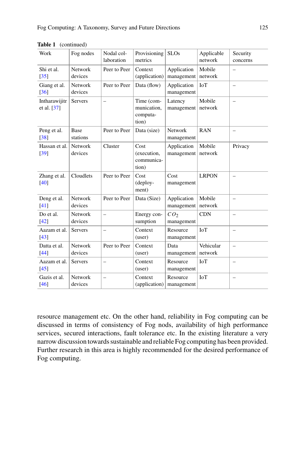| Work                         | Fog nodes                 | Nodal col-<br>laboration | Provisioning<br>metrics                        | <b>SLOs</b>                   | Applicable<br>network | Security<br>concerns     |
|------------------------------|---------------------------|--------------------------|------------------------------------------------|-------------------------------|-----------------------|--------------------------|
| Shi et al.<br>[35]           | <b>Network</b><br>devices | Peer to Peer             | Context<br>(application)                       | Application<br>management     | Mobile<br>network     | -                        |
| Giang et al.<br>[36]         | <b>Network</b><br>devices | Peer to Peer             | Data (flow)                                    | Application<br>management     | IoT                   | $\overline{\phantom{0}}$ |
| Intharawijitr<br>et al. [37] | <b>Servers</b>            | $\overline{\phantom{0}}$ | Time (com-<br>munication,<br>computa-<br>tion) | Latency<br>management         | Mobile<br>network     | $\overline{\phantom{0}}$ |
| Peng et al.<br>$[38]$        | Base<br>stations          | Peer to Peer             | Data (size)                                    | Network<br>management         | <b>RAN</b>            | $\overline{\phantom{0}}$ |
| Hassan et al.<br>[39]        | <b>Network</b><br>devices | Cluster                  | Cost<br>(execution,<br>communica-<br>tion)     | Application<br>management     | Mobile<br>network     | Privacy                  |
| Zhang et al.<br>[40]         | Cloudlets                 | Peer to Peer             | Cost<br>(deploy-<br>ment)                      | Cost<br>management            | <b>LRPON</b>          |                          |
| Deng et al.<br>[41]          | <b>Network</b><br>devices | Peer to Peer             | Data (Size)                                    | Application<br>management     | Mobile<br>network     |                          |
| Do et al.<br>[42]            | Network<br>devices        |                          | Energy con-<br>sumption                        | CO <sub>2</sub><br>management | <b>CDN</b>            |                          |
| Aazam et al.<br>[43]         | <b>Servers</b>            | $\overline{\phantom{0}}$ | Context<br>(user)                              | Resource<br>management        | IoT                   |                          |
| Datta et al.<br>[44]         | <b>Network</b><br>devices | Peer to Peer             | Context<br>(user)                              | Data<br>management            | Vehicular<br>network  |                          |
| Aazam et al.<br>[45]         | Servers                   | $\overline{a}$           | Context<br>(user)                              | Resource<br>management        | IoT                   | $\equiv$                 |
| Gazis et al.<br>[46]         | Network<br>devices        | $\overline{a}$           | Context<br>(application)                       | Resource<br>management        | IoT                   | $\overline{\phantom{0}}$ |

**Table 1** (continued)

resource management etc. On the other hand, reliability in Fog computing can be discussed in terms of consistency of Fog nods, availability of high performance services, secured interactions, fault tolerance etc. In the existing literature a very narrow discussion towards sustainable and reliable Fog computing has been provided. Further research in this area is highly recommended for the desired performance of Fog computing.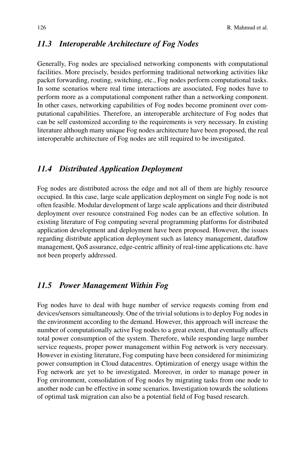## *11.3 Interoperable Architecture of Fog Nodes*

Generally, Fog nodes are specialised networking components with computational facilities. More precisely, besides performing traditional networking activities like packet forwarding, routing, switching, etc., Fog nodes perform computational tasks. In some scenarios where real time interactions are associated, Fog nodes have to perform more as a computational component rather than a networking component. In other cases, networking capabilities of Fog nodes become prominent over computational capabilities. Therefore, an interoperable architecture of Fog nodes that can be self customized according to the requirements is very necessary. In existing literature although many unique Fog nodes architecture have been proposed, the real interoperable architecture of Fog nodes are still required to be investigated.

## *11.4 Distributed Application Deployment*

Fog nodes are distributed across the edge and not all of them are highly resource occupied. In this case, large scale application deployment on single Fog node is not often feasible. Modular development of large scale applications and their distributed deployment over resource constrained Fog nodes can be an effective solution. In existing literature of Fog computing several programming platforms for distributed application development and deployment have been proposed. However, the issues regarding distribute application deployment such as latency management, dataflow management, QoS assurance, edge-centric affinity of real-time applications etc. have not been properly addressed.

## *11.5 Power Management Within Fog*

Fog nodes have to deal with huge number of service requests coming from end devices/sensors simultaneously. One of the trivial solutions is to deploy Fog nodes in the environment according to the demand. However, this approach will increase the number of computationally active Fog nodes to a great extent, that eventually affects total power consumption of the system. Therefore, while responding large number service requests, proper power management within Fog network is very necessary. However in existing literature, Fog computing have been considered for minimizing power consumption in Cloud datacentres. Optimization of energy usage within the Fog network are yet to be investigated. Moreover, in order to manage power in Fog environment, consolidation of Fog nodes by migrating tasks from one node to another node can be effective in some scenarios. Investigation towards the solutions of optimal task migration can also be a potential field of Fog based research.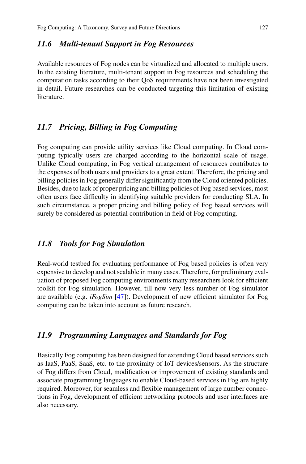## *11.6 Multi-tenant Support in Fog Resources*

Available resources of Fog nodes can be virtualized and allocated to multiple users. In the existing literature, multi-tenant support in Fog resources and scheduling the computation tasks according to their QoS requirements have not been investigated in detail. Future researches can be conducted targeting this limitation of existing literature.

## *11.7 Pricing, Billing in Fog Computing*

Fog computing can provide utility services like Cloud computing. In Cloud computing typically users are charged according to the horizontal scale of usage. Unlike Cloud computing, in Fog vertical arrangement of resources contributes to the expenses of both users and providers to a great extent. Therefore, the pricing and billing policies in Fog generally differ significantly from the Cloud oriented policies. Besides, due to lack of proper pricing and billing policies of Fog based services, most often users face difficulty in identifying suitable providers for conducting SLA. In such circumstance, a proper pricing and billing policy of Fog based services will surely be considered as potential contribution in field of Fog computing.

#### *11.8 Tools for Fog Simulation*

Real-world testbed for evaluating performance of Fog based policies is often very expensive to develop and not scalable in many cases. Therefore, for preliminary evaluation of proposed Fog computing environments many researchers look for efficient toolkit for Fog simulation. However, till now very less number of Fog simulator are available (e.g. *iFogSim* [\[47](#page-27-14)]). Development of new efficient simulator for Fog computing can be taken into account as future research.

## *11.9 Programming Languages and Standards for Fog*

Basically Fog computing has been designed for extending Cloud based services such as IaaS, PaaS, SaaS, etc. to the proximity of IoT devices/sensors. As the structure of Fog differs from Cloud, modification or improvement of existing standards and associate programming languages to enable Cloud-based services in Fog are highly required. Moreover, for seamless and flexible management of large number connections in Fog, development of efficient networking protocols and user interfaces are also necessary.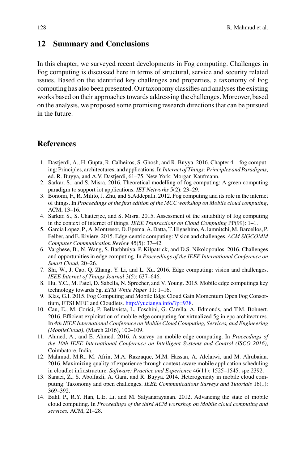#### **12 Summary and Conclusions**

In this chapter, we surveyed recent developments in Fog computing. Challenges in Fog computing is discussed here in terms of structural, service and security related issues. Based on the identified key challenges and properties, a taxonomy of Fog computing has also been presented. Our taxonomy classifies and analyses the existing works based on their approaches towards addressing the challenges. Moreover, based on the analysis, we proposed some promising research directions that can be pursued in the future.

## **References**

- <span id="page-25-0"></span>1. Dastjerdi, A., H. Gupta, R. Calheiros, S. Ghosh, and R. Buyya. 2016. Chapter 4—fog computing: Principles, architectures, and applications. In *Internet of Things: Principles and Paradigms*, ed. R. Buyya, and A.V. Dastjerdi, 61–75. New York: Morgan Kaufmann.
- <span id="page-25-1"></span>2. Sarkar, S., and S. Misra. 2016. Theoretical modelling of fog computing: A green computing paradigm to support iot applications. *IET Networks* 5(2): 23–29.
- <span id="page-25-2"></span>3. Bonomi, F., R. Milito, J. Zhu, and S.Addepalli. 2012. Fog computing and its role in the internet of things. In *Proceedings of the first edition of the MCC workshop on Mobile cloud computing*, ACM, 13–16.
- <span id="page-25-3"></span>4. Sarkar, S., S. Chatterjee, and S. Misra. 2015. Assessment of the suitability of fog computing in the context of internet of things. *IEEE Transactions on Cloud Computing* PP(99): 1–1.
- <span id="page-25-4"></span>5. Garcia Lopez, P., A. Montresor, D. Epema, A. Datta, T. Higashino, A. Iamnitchi, M. Barcellos, P. Felber, and E. Riviere. 2015. Edge-centric computing: Vision and challenges. *ACM SIGCOMM Computer Communication Review* 45(5): 37–42.
- <span id="page-25-5"></span>6. Varghese, B., N. Wang, S. Barbhuiya, P. Kilpatrick, and D.S. Nikolopoulos. 2016. Challenges and opportunities in edge computing. In *Proceedings of the IEEE International Conference on Smart Cloud*, 20–26.
- <span id="page-25-6"></span>7. Shi, W., J. Cao, Q. Zhang, Y. Li, and L. Xu. 2016. Edge computing: vision and challenges. *IEEE Internet of Things Journal* 3(5): 637–646.
- <span id="page-25-7"></span>8. Hu, Y.C., M. Patel, D. Sabella, N. Sprecher, and V. Young. 2015. Mobile edge computinga key technology towards 5g. *ETSI White Paper* 11: 1–16.
- 9. Klas, G.I. 2015. Fog Computing and Mobile Edge Cloud Gain Momentum Open Fog Consortium, ETSI MEC and Cloudlets. [http://yucianga.info/?p=938.](http://yucianga.info/?p=938)
- <span id="page-25-9"></span><span id="page-25-8"></span>10. Cau, E., M. Corici, P. Bellavista, L. Foschini, G. Carella, A. Edmonds, and T.M. Bohnert. 2016. Efficient exploitation of mobile edge computing for virtualized 5g in epc architectures. In *4th IEEE International Conference on Mobile Cloud Computing, Services, and Engineering (MobileCloud)*, (March 2016), 100–109.
- <span id="page-25-10"></span>11. Ahmed, A., and E. Ahmed. 2016. A survey on mobile edge computing. In *Proceedings of the 10th IEEE International Conference on Intelligent Systems and Control (ISCO 2016)*, Coimbatore, India.
- <span id="page-25-11"></span>12. Mahmud, M.R., M. Afrin, M.A. Razzaque, M.M. Hassan, A. Alelaiwi, and M. Alrubaian. 2016. Maximizing quality of experience through context-aware mobile application scheduling in cloudlet infrastructure. *Software: Practice and Experience* 46(11): 1525–1545. spe.2392.
- <span id="page-25-12"></span>13. Sanaei, Z., S. Abolfazli, A. Gani, and R. Buyya. 2014. Heterogeneity in mobile cloud computing: Taxonomy and open challenges. *IEEE Communications Surveys and Tutorials* 16(1): 369–392.
- <span id="page-25-13"></span>14. Bahl, P., R.Y. Han, L.E. Li, and M. Satyanarayanan. 2012. Advancing the state of mobile cloud computing. In *Proceedings of the third ACM workshop on Mobile cloud computing and services,* ACM, 21–28.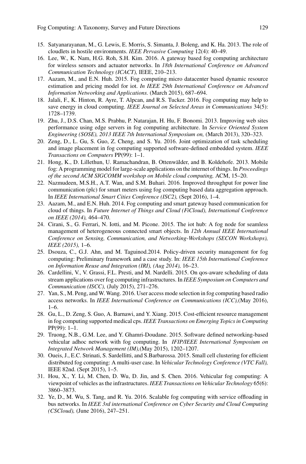- <span id="page-26-0"></span>15. Satyanarayanan, M., G. Lewis, E. Morris, S. Simanta, J. Boleng, and K. Ha. 2013. The role of cloudlets in hostile environments. *IEEE Pervasive Computing* 12(4): 40–49.
- <span id="page-26-1"></span>16. Lee, W., K. Nam, H.G. Roh, S.H. Kim. 2016. A gateway based fog computing architecture for wireless sensors and actuator networks. In *18th International Conference on Advanced Communication Technology (ICACT),* IEEE, 210–213.
- <span id="page-26-2"></span>17. Aazam, M., and E.N. Huh. 2015. Fog computing micro datacenter based dynamic resource estimation and pricing model for iot. *In IEEE 29th International Conference on Advanced Information Networking and Applications.* (March 2015), 687–694.
- <span id="page-26-3"></span>18. Jalali, F., K. Hinton, R. Ayre, T. Alpcan, and R.S. Tucker. 2016. Fog computing may help to save energy in cloud computing. *IEEE Journal on Selected Areas in Communications* 34(5): 1728–1739.
- <span id="page-26-4"></span>19. Zhu, J., D.S. Chan, M.S. Prabhu, P. Natarajan, H. Hu, F. Bonomi. 2013. Improving web sites performance using edge servers in fog computing architecture. In *Service Oriented System Engineering (SOSE), 2013 IEEE 7th International Symposium on,* (March 2013), 320–323.
- <span id="page-26-5"></span>20. Zeng, D., L. Gu, S. Guo, Z. Cheng, and S. Yu. 2016. Joint optimization of task scheduling and image placement in fog computing supported software-defined embedded system. *IEEE Transactions on Computers* PP(99): 1–1.
- <span id="page-26-6"></span>21. Hong, K., D. Lillethun, U. Ramachandran, B. Ottenwälder, and B. Koldehofe. 2013. Mobile fog: A programming model for large-scale applications on the internet of things. In *Proceedings of the second ACM SIGCOMM workshop on Mobile cloud computing,* ACM, 15–20.
- <span id="page-26-7"></span>22. Nazmudeen, M.S.H., A.T. Wan, and S.M. Buhari. 2016. Improved throughput for power line communication (plc) for smart meters using fog computing based data aggregation approach. In *IEEE International Smart Cities Conference (ISC2),* (Sept 2016), 1–4.
- <span id="page-26-8"></span>23. Aazam, M., and E.N. Huh. 2014. Fog computing and smart gateway based communication for cloud of things. In *Future Internet of Things and Cloud (FiCloud), International Conference on IEEE (2014),* 464–470.
- <span id="page-26-9"></span>24. Cirani, S., G. Ferrari, N. Iotti, and M. Picone. 2015. The iot hub: A fog node for seamless management of heterogeneous connected smart objects. In *12th Annual IEEE International Conference on Sensing, Communication, and Networking-Workshops (SECON Workshops), IEEE (2015),* 1–6.
- <span id="page-26-10"></span>25. Dsouza, C., G.J. Ahn, and M. Taguinod.2014. Policy-driven security management for fog computing: Preliminary framework and a case study. In: *IEEE 15th International Conference on Information Reuse and Integration (IRI), (Aug 2014),* 16–23.
- <span id="page-26-11"></span>26. Cardellini, V., V. Grassi, F.L. Presti, and M. Nardelli. 2015. On qos-aware scheduling of data stream applications over fog computing infrastructures. In *IEEE Symposium on Computers and Communication (ISCC),* (July 2015), 271–276.
- <span id="page-26-12"></span>27. Yan, S., M. Peng, and W. Wang. 2016. User access mode selection in fog computing based radio access networks. In *IEEE International Conference on Communications (ICC),*(May 2016), 1–6.
- <span id="page-26-13"></span>28. Gu, L., D. Zeng, S. Guo, A. Barnawi, and Y. Xiang. 2015. Cost-efficient resource management in fog computing supported medical cps. *IEEE Transactions on Emerging Topics in Computing* PP(99): 1–1.
- <span id="page-26-14"></span>29. Truong, N.B., G.M. Lee, and Y. Ghamri-Doudane. 2015. Software defined networking-based vehicular adhoc network with fog computing. In *IFIP/IEEE International Symposium on Integrated Network Management (IM),*(May 2015), 1202–1207.
- <span id="page-26-15"></span>30. Oueis, J., E.C. Strinati, S. Sardellitti, and S.Barbarossa. 2015. Small cell clustering for efficient distributed fog computing: A multi-user case. In *Vehicular Technology Conference (VTC Fall),* IEEE 82nd. (Sept 2015), 1–5.
- <span id="page-26-16"></span>31. Hou, X., Y. Li, M. Chen, D. Wu, D. Jin, and S. Chen. 2016. Vehicular fog computing: A viewpoint of vehicles as the infrastructures. *IEEE Transactions on Vehicular Technology* 65(6): 3860–3873.
- <span id="page-26-17"></span>32. Ye, D., M. Wu, S. Tang, and R. Yu. 2016. Scalable fog computing with service offloading in bus networks. In *IEEE 3rd international Conference on Cyber Security and Cloud Computing (CSCloud),* (June 2016), 247–251.